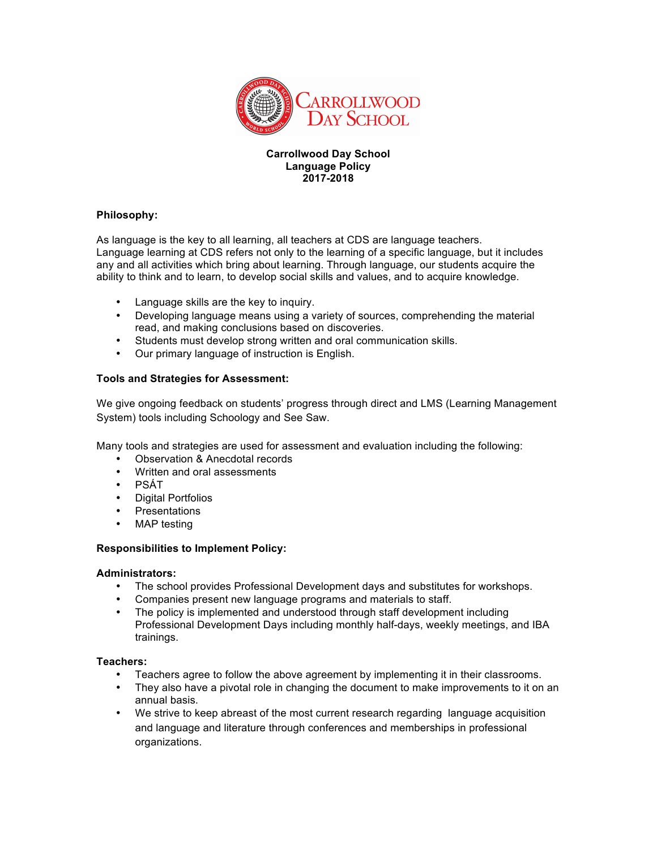

#### **Carrollwood Day School Language Policy 2017-2018**

### **Philosophy:**

As language is the key to all learning, all teachers at CDS are language teachers. Language learning at CDS refers not only to the learning of a specific language, but it includes any and all activities which bring about learning. Through language, our students acquire the ability to think and to learn, to develop social skills and values, and to acquire knowledge.

- Language skills are the key to inquiry.
- Developing language means using a variety of sources, comprehending the material read, and making conclusions based on discoveries.
- Students must develop strong written and oral communication skills.
- Our primary language of instruction is English.

# **Tools and Strategies for Assessment:**

We give ongoing feedback on students' progress through direct and LMS (Learning Management System) tools including Schoology and See Saw.

Many tools and strategies are used for assessment and evaluation including the following:

- Observation & Anecdotal records
- Written and oral assessments
- PSÁT
- Digital Portfolios
- Presentations
- MAP testing

### **Responsibilities to Implement Policy:**

### **Administrators:**

- The school provides Professional Development days and substitutes for workshops.
- Companies present new language programs and materials to staff.
- The policy is implemented and understood through staff development including Professional Development Days including monthly half-days, weekly meetings, and IBA trainings.

### **Teachers:**

- Teachers agree to follow the above agreement by implementing it in their classrooms.
- They also have a pivotal role in changing the document to make improvements to it on an annual basis.
- We strive to keep abreast of the most current research regarding language acquisition and language and literature through conferences and memberships in professional organizations.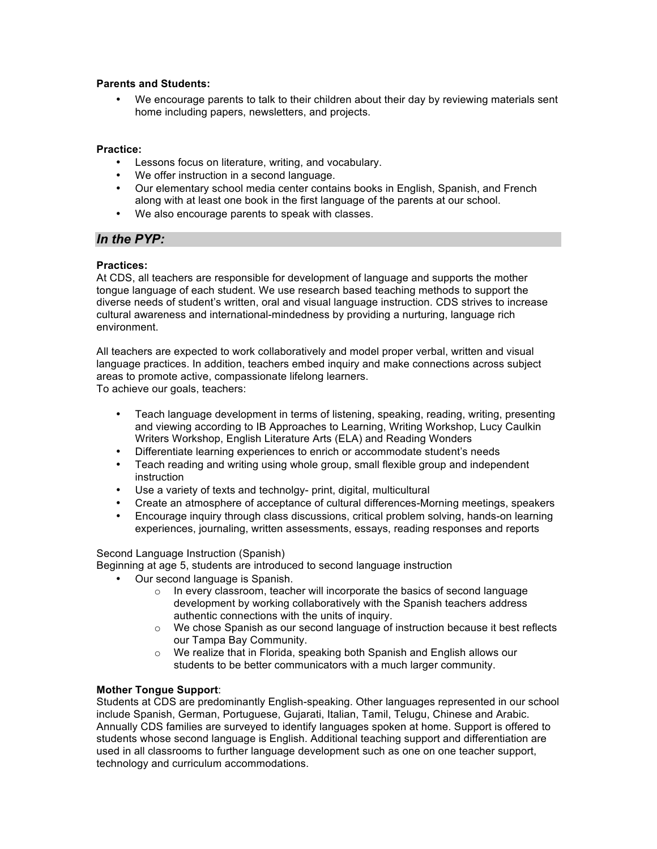# **Parents and Students:**

We encourage parents to talk to their children about their day by reviewing materials sent home including papers, newsletters, and projects.

#### **Practice:**

- Lessons focus on literature, writing, and vocabulary.
- We offer instruction in a second language.
- Our elementary school media center contains books in English, Spanish, and French along with at least one book in the first language of the parents at our school.
- We also encourage parents to speak with classes.

# *In the PYP:*

#### **Practices:**

At CDS, all teachers are responsible for development of language and supports the mother tongue language of each student. We use research based teaching methods to support the diverse needs of student's written, oral and visual language instruction. CDS strives to increase cultural awareness and international-mindedness by providing a nurturing, language rich environment.

All teachers are expected to work collaboratively and model proper verbal, written and visual language practices. In addition, teachers embed inquiry and make connections across subject areas to promote active, compassionate lifelong learners.

To achieve our goals, teachers:

- Teach language development in terms of listening, speaking, reading, writing, presenting and viewing according to IB Approaches to Learning, Writing Workshop, Lucy Caulkin Writers Workshop, English Literature Arts (ELA) and Reading Wonders
- Differentiate learning experiences to enrich or accommodate student's needs
- Teach reading and writing using whole group, small flexible group and independent instruction
- Use a variety of texts and technolgy- print, digital, multicultural
- Create an atmosphere of acceptance of cultural differences-Morning meetings, speakers
- Encourage inquiry through class discussions, critical problem solving, hands-on learning experiences, journaling, written assessments, essays, reading responses and reports

#### Second Language Instruction (Spanish)

Beginning at age 5, students are introduced to second language instruction

- Our second language is Spanish.
	- $\circ$  In every classroom, teacher will incorporate the basics of second language development by working collaboratively with the Spanish teachers address authentic connections with the units of inquiry.
	- o We chose Spanish as our second language of instruction because it best reflects our Tampa Bay Community.
	- o We realize that in Florida, speaking both Spanish and English allows our students to be better communicators with a much larger community.

### **Mother Tongue Support**:

Students at CDS are predominantly English-speaking. Other languages represented in our school include Spanish, German, Portuguese, Gujarati, Italian, Tamil, Telugu, Chinese and Arabic. Annually CDS families are surveyed to identify languages spoken at home. Support is offered to students whose second language is English. Additional teaching support and differentiation are used in all classrooms to further language development such as one on one teacher support, technology and curriculum accommodations.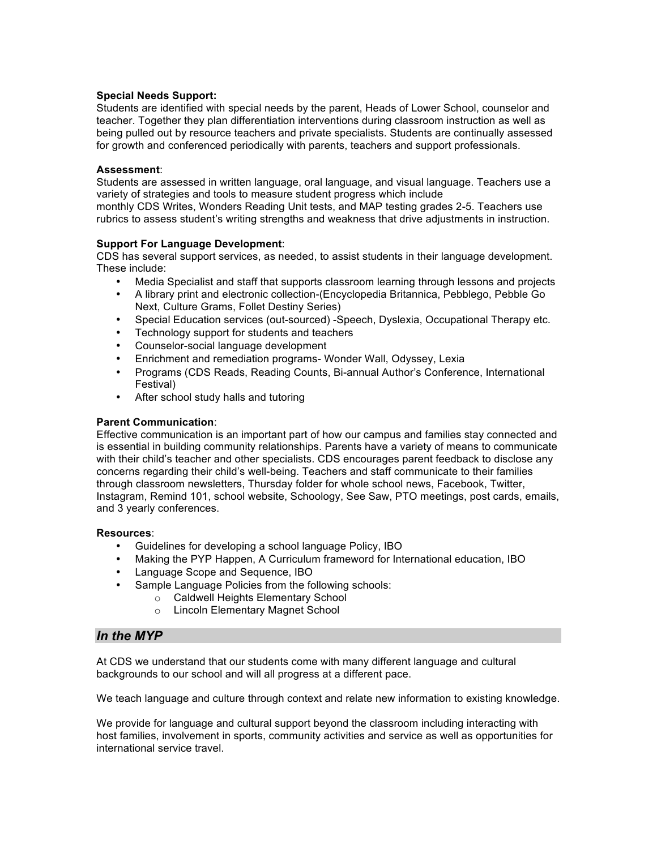#### **Special Needs Support:**

Students are identified with special needs by the parent, Heads of Lower School, counselor and teacher. Together they plan differentiation interventions during classroom instruction as well as being pulled out by resource teachers and private specialists. Students are continually assessed for growth and conferenced periodically with parents, teachers and support professionals.

#### **Assessment**:

Students are assessed in written language, oral language, and visual language. Teachers use a variety of strategies and tools to measure student progress which include

monthly CDS Writes, Wonders Reading Unit tests, and MAP testing grades 2-5. Teachers use rubrics to assess student's writing strengths and weakness that drive adjustments in instruction.

#### **Support For Language Development**:

CDS has several support services, as needed, to assist students in their language development. These include:

- Media Specialist and staff that supports classroom learning through lessons and projects
- A library print and electronic collection-(Encyclopedia Britannica, Pebblego, Pebble Go Next, Culture Grams, Follet Destiny Series)
- Special Education services (out-sourced) -Speech, Dyslexia, Occupational Therapy etc.
- Technology support for students and teachers
- Counselor-social language development
- Enrichment and remediation programs- Wonder Wall, Odyssey, Lexia
- Programs (CDS Reads, Reading Counts, Bi-annual Author's Conference, International Festival)
- After school study halls and tutoring

#### **Parent Communication**:

Effective communication is an important part of how our campus and families stay connected and is essential in building community relationships. Parents have a variety of means to communicate with their child's teacher and other specialists. CDS encourages parent feedback to disclose any concerns regarding their child's well-being. Teachers and staff communicate to their families through classroom newsletters, Thursday folder for whole school news, Facebook, Twitter, Instagram, Remind 101, school website, Schoology, See Saw, PTO meetings, post cards, emails, and 3 yearly conferences.

#### **Resources**:

- Guidelines for developing a school language Policy, IBO
- Making the PYP Happen, A Curriculum frameword for International education, IBO
- Language Scope and Sequence, IBO
- Sample Language Policies from the following schools:
	- o Caldwell Heights Elementary School
	- o Lincoln Elementary Magnet School

### *In the MYP*

At CDS we understand that our students come with many different language and cultural backgrounds to our school and will all progress at a different pace.

We teach language and culture through context and relate new information to existing knowledge.

We provide for language and cultural support beyond the classroom including interacting with host families, involvement in sports, community activities and service as well as opportunities for international service travel.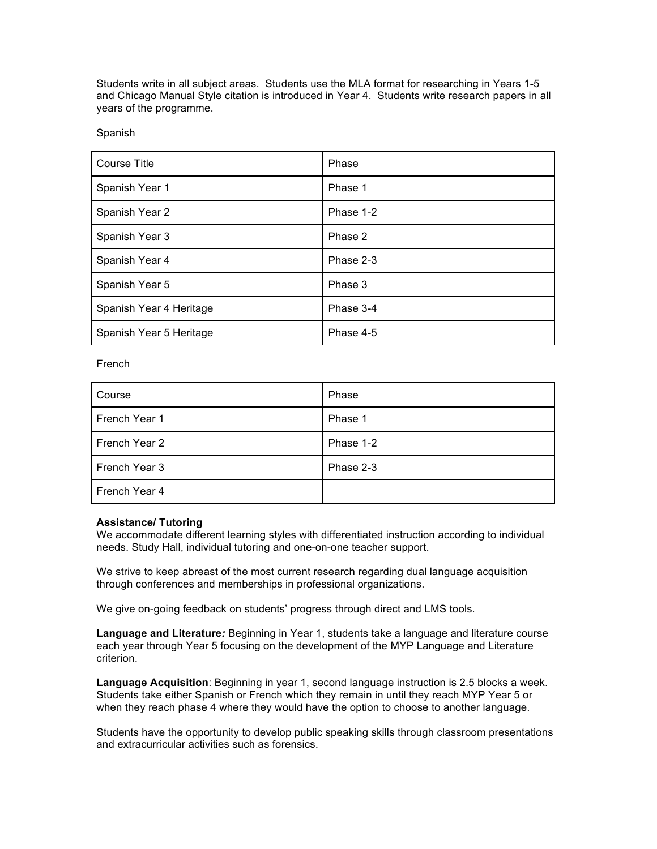Students write in all subject areas. Students use the MLA format for researching in Years 1-5 and Chicago Manual Style citation is introduced in Year 4. Students write research papers in all years of the programme.

Spanish

| <b>Course Title</b>     | Phase     |
|-------------------------|-----------|
| Spanish Year 1          | Phase 1   |
| Spanish Year 2          | Phase 1-2 |
| Spanish Year 3          | Phase 2   |
| Spanish Year 4          | Phase 2-3 |
| Spanish Year 5          | Phase 3   |
| Spanish Year 4 Heritage | Phase 3-4 |
| Spanish Year 5 Heritage | Phase 4-5 |

French

| Course        | Phase     |
|---------------|-----------|
| French Year 1 | Phase 1   |
| French Year 2 | Phase 1-2 |
| French Year 3 | Phase 2-3 |
| French Year 4 |           |

### **Assistance/ Tutoring**

We accommodate different learning styles with differentiated instruction according to individual needs. Study Hall, individual tutoring and one-on-one teacher support.

We strive to keep abreast of the most current research regarding dual language acquisition through conferences and memberships in professional organizations.

We give on-going feedback on students' progress through direct and LMS tools.

**Language and Literature***:* Beginning in Year 1, students take a language and literature course each year through Year 5 focusing on the development of the MYP Language and Literature criterion.

**Language Acquisition**: Beginning in year 1, second language instruction is 2.5 blocks a week. Students take either Spanish or French which they remain in until they reach MYP Year 5 or when they reach phase 4 where they would have the option to choose to another language.

Students have the opportunity to develop public speaking skills through classroom presentations and extracurricular activities such as forensics.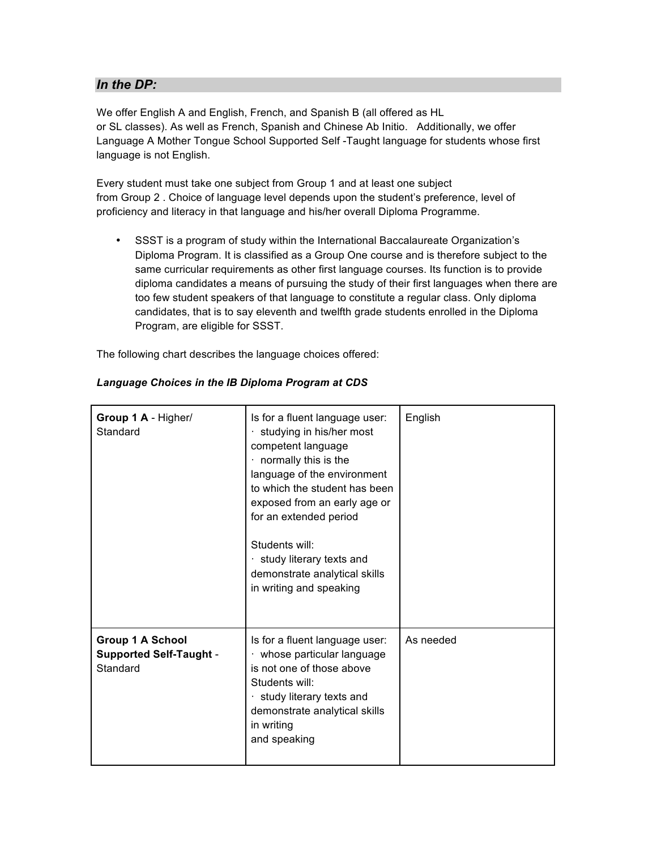# *In the DP:*

We offer English A and English, French, and Spanish B (all offered as HL or SL classes). As well as French, Spanish and Chinese Ab Initio. Additionally, we offer Language A Mother Tongue School Supported Self -Taught language for students whose first language is not English.

Every student must take one subject from Group 1 and at least one subject from Group 2 . Choice of language level depends upon the student's preference, level of proficiency and literacy in that language and his/her overall Diploma Programme.

• SSST is a program of study within the International Baccalaureate Organization's Diploma Program. It is classified as a Group One course and is therefore subject to the same curricular requirements as other first language courses. Its function is to provide diploma candidates a means of pursuing the study of their first languages when there are too few student speakers of that language to constitute a regular class. Only diploma candidates, that is to say eleventh and twelfth grade students enrolled in the Diploma Program, are eligible for SSST.

The following chart describes the language choices offered:

| Group 1 A - Higher/<br>Standard                                       | Is for a fluent language user:<br>· studying in his/her most<br>competent language<br>· normally this is the<br>language of the environment<br>to which the student has been<br>exposed from an early age or<br>for an extended period<br>Students will:<br>study literary texts and<br>demonstrate analytical skills<br>in writing and speaking | English   |
|-----------------------------------------------------------------------|--------------------------------------------------------------------------------------------------------------------------------------------------------------------------------------------------------------------------------------------------------------------------------------------------------------------------------------------------|-----------|
| <b>Group 1 A School</b><br><b>Supported Self-Taught -</b><br>Standard | Is for a fluent language user:<br>· whose particular language<br>is not one of those above<br>Students will:<br>study literary texts and<br>demonstrate analytical skills<br>in writing<br>and speaking                                                                                                                                          | As needed |

### *Language Choices in the IB Diploma Program at CDS*